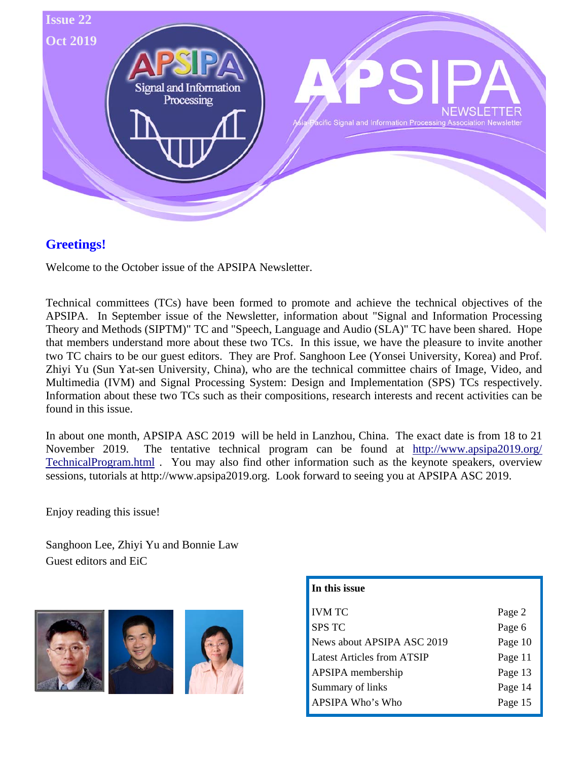

## **Greetings!**

Welcome to the October issue of the APSIPA Newsletter.

Technical committees (TCs) have been formed to promote and achieve the technical objectives of the APSIPA. In September issue of the Newsletter, information about "Signal and Information Processing Theory and Methods (SIPTM)" TC and "Speech, Language and Audio (SLA)" TC have been shared. Hope that members understand more about these two TCs. In this issue, we have the pleasure to invite another two TC chairs to be our guest editors. They are Prof. Sanghoon Lee (Yonsei University, Korea) and Prof. Zhiyi Yu (Sun Yat-sen University, China), who are the technical committee chairs of Image, Video, and Multimedia (IVM) and Signal Processing System: Design and Implementation (SPS) TCs respectively. Information about these two TCs such as their compositions, research interests and recent activities can be found in this issue.

In about one month, APSIPA ASC 2019 will be held in Lanzhou, China. The exact date is from 18 to 21 November 2019. The tentative technical program can be found at http://www.apsipa2019.org/ TechnicalProgram.html . You may also find other information such as the keynote speakers, overview sessions, tutorials at http://www.apsipa2019.org. Look forward to seeing you at APSIPA ASC 2019.

Enjoy reading this issue!

Sanghoon Lee, Zhiyi Yu and Bonnie Law Guest editors and EiC



| In this issue                     |         |
|-----------------------------------|---------|
| <b>IVM TC</b>                     | Page 2  |
| <b>SPS TC</b>                     | Page 6  |
| News about APSIPA ASC 2019        | Page 10 |
| <b>Latest Articles from ATSIP</b> | Page 11 |
| APSIPA membership                 | Page 13 |
| Summary of links                  | Page 14 |
| APSIPA Who's Who                  | Page 15 |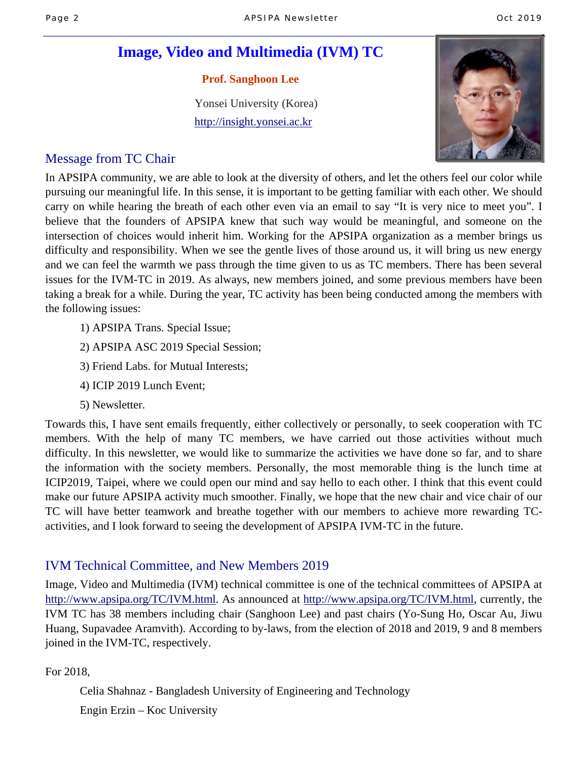# **Image, Video and Multimedia (IVM) TC**

 **Prof. Sanghoon Lee** 

 Yonsei University (Korea) http://insight.yonsei.ac.kr



## Message from TC Chair

In APSIPA community, we are able to look at the diversity of others, and let the others feel our color while pursuing our meaningful life. In this sense, it is important to be getting familiar with each other. We should carry on while hearing the breath of each other even via an email to say "It is very nice to meet you". I believe that the founders of APSIPA knew that such way would be meaningful, and someone on the intersection of choices would inherit him. Working for the APSIPA organization as a member brings us difficulty and responsibility. When we see the gentle lives of those around us, it will bring us new energy and we can feel the warmth we pass through the time given to us as TC members. There has been several issues for the IVM-TC in 2019. As always, new members joined, and some previous members have been taking a break for a while. During the year, TC activity has been being conducted among the members with the following issues:

- 1) APSIPA Trans. Special Issue;
- 2) APSIPA ASC 2019 Special Session;
- 3) Friend Labs. for Mutual Interests;
- 4) ICIP 2019 Lunch Event;
- 5) Newsletter.

Towards this, I have sent emails frequently, either collectively or personally, to seek cooperation with TC members. With the help of many TC members, we have carried out those activities without much difficulty. In this newsletter, we would like to summarize the activities we have done so far, and to share the information with the society members. Personally, the most memorable thing is the lunch time at ICIP2019, Taipei, where we could open our mind and say hello to each other. I think that this event could make our future APSIPA activity much smoother. Finally, we hope that the new chair and vice chair of our TC will have better teamwork and breathe together with our members to achieve more rewarding TCactivities, and I look forward to seeing the development of APSIPA IVM-TC in the future.

## IVM Technical Committee, and New Members 2019

Image, Video and Multimedia (IVM) technical committee is one of the technical committees of APSIPA at http://www.apsipa.org/TC/IVM.html. As announced at http://www.apsipa.org/TC/IVM.html, currently, the IVM TC has 38 members including chair (Sanghoon Lee) and past chairs (Yo-Sung Ho, Oscar Au, Jiwu Huang, Supavadee Aramvith). According to by-laws, from the election of 2018 and 2019, 9 and 8 members joined in the IVM-TC, respectively.

For 2018,

Celia Shahnaz - Bangladesh University of Engineering and Technology

Engin Erzin – Koc University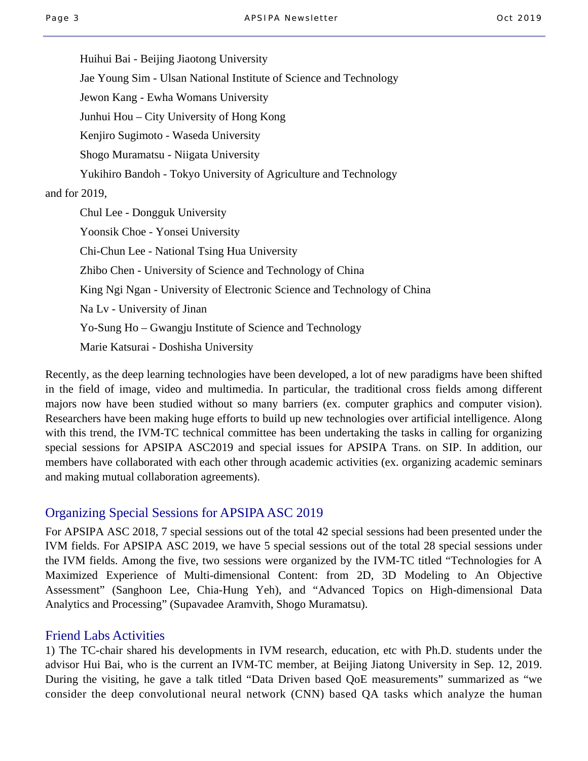Huihui Bai - Beijing Jiaotong University Jae Young Sim - Ulsan National Institute of Science and Technology Jewon Kang - Ewha Womans University Junhui Hou – City University of Hong Kong Kenjiro Sugimoto - Waseda University Shogo Muramatsu - Niigata University Yukihiro Bandoh - Tokyo University of Agriculture and Technology and for 2019, Chul Lee - Dongguk University Yoonsik Choe - Yonsei University Chi-Chun Lee - National Tsing Hua University Zhibo Chen - University of Science and Technology of China King Ngi Ngan - University of Electronic Science and Technology of China Na Lv - University of Jinan Yo-Sung Ho – Gwangju Institute of Science and Technology Marie Katsurai - Doshisha University

Recently, as the deep learning technologies have been developed, a lot of new paradigms have been shifted in the field of image, video and multimedia. In particular, the traditional cross fields among different majors now have been studied without so many barriers (ex. computer graphics and computer vision). Researchers have been making huge efforts to build up new technologies over artificial intelligence. Along with this trend, the IVM-TC technical committee has been undertaking the tasks in calling for organizing special sessions for APSIPA ASC2019 and special issues for APSIPA Trans. on SIP. In addition, our members have collaborated with each other through academic activities (ex. organizing academic seminars and making mutual collaboration agreements).

### Organizing Special Sessions for APSIPA ASC 2019

For APSIPA ASC 2018, 7 special sessions out of the total 42 special sessions had been presented under the IVM fields. For APSIPA ASC 2019, we have 5 special sessions out of the total 28 special sessions under the IVM fields. Among the five, two sessions were organized by the IVM-TC titled "Technologies for A Maximized Experience of Multi-dimensional Content: from 2D, 3D Modeling to An Objective Assessment" (Sanghoon Lee, Chia-Hung Yeh), and "Advanced Topics on High-dimensional Data Analytics and Processing" (Supavadee Aramvith, Shogo Muramatsu).

#### Friend Labs Activities

1) The TC-chair shared his developments in IVM research, education, etc with Ph.D. students under the advisor Hui Bai, who is the current an IVM-TC member, at Beijing Jiatong University in Sep. 12, 2019. During the visiting, he gave a talk titled "Data Driven based QoE measurements" summarized as "we consider the deep convolutional neural network (CNN) based QA tasks which analyze the human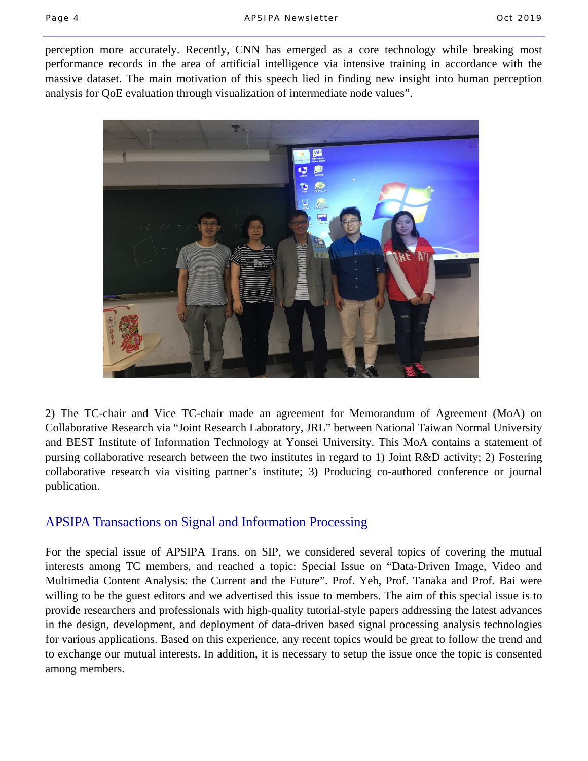perception more accurately. Recently, CNN has emerged as a core technology while breaking most performance records in the area of artificial intelligence via intensive training in accordance with the massive dataset. The main motivation of this speech lied in finding new insight into human perception analysis for QoE evaluation through visualization of intermediate node values".



2) The TC-chair and Vice TC-chair made an agreement for Memorandum of Agreement (MoA) on Collaborative Research via "Joint Research Laboratory, JRL" between National Taiwan Normal University and BEST Institute of Information Technology at Yonsei University. This MoA contains a statement of pursing collaborative research between the two institutes in regard to 1) Joint R&D activity; 2) Fostering collaborative research via visiting partner's institute; 3) Producing co-authored conference or journal publication.

### APSIPA Transactions on Signal and Information Processing

For the special issue of APSIPA Trans. on SIP, we considered several topics of covering the mutual interests among TC members, and reached a topic: Special Issue on "Data-Driven Image, Video and Multimedia Content Analysis: the Current and the Future". Prof. Yeh, Prof. Tanaka and Prof. Bai were willing to be the guest editors and we advertised this issue to members. The aim of this special issue is to provide researchers and professionals with high-quality tutorial-style papers addressing the latest advances in the design, development, and deployment of data-driven based signal processing analysis technologies for various applications. Based on this experience, any recent topics would be great to follow the trend and to exchange our mutual interests. In addition, it is necessary to setup the issue once the topic is consented among members.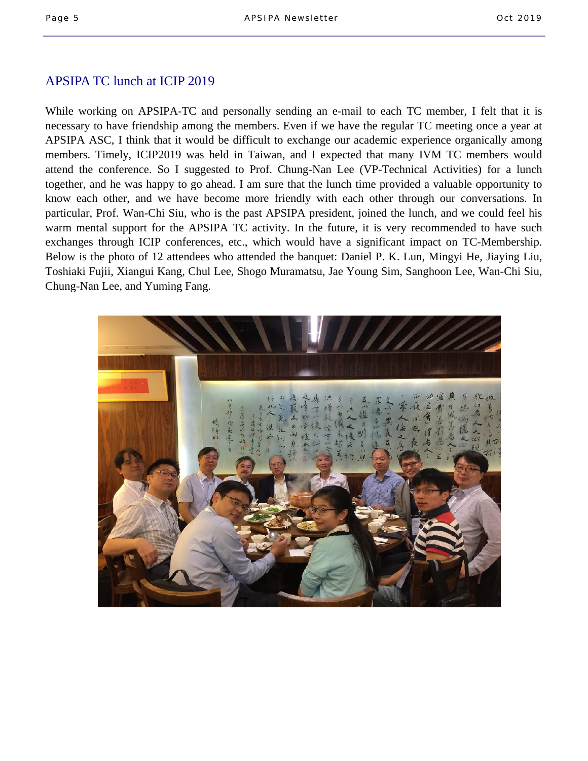### APSIPA TC lunch at ICIP 2019

While working on APSIPA-TC and personally sending an e-mail to each TC member, I felt that it is necessary to have friendship among the members. Even if we have the regular TC meeting once a year at APSIPA ASC, I think that it would be difficult to exchange our academic experience organically among members. Timely, ICIP2019 was held in Taiwan, and I expected that many IVM TC members would attend the conference. So I suggested to Prof. Chung-Nan Lee (VP-Technical Activities) for a lunch together, and he was happy to go ahead. I am sure that the lunch time provided a valuable opportunity to know each other, and we have become more friendly with each other through our conversations. In particular, Prof. Wan-Chi Siu, who is the past APSIPA president, joined the lunch, and we could feel his warm mental support for the APSIPA TC activity. In the future, it is very recommended to have such exchanges through ICIP conferences, etc., which would have a significant impact on TC-Membership. Below is the photo of 12 attendees who attended the banquet: Daniel P. K. Lun, Mingyi He, Jiaying Liu, Toshiaki Fujii, Xiangui Kang, Chul Lee, Shogo Muramatsu, Jae Young Sim, Sanghoon Lee, Wan-Chi Siu, Chung-Nan Lee, and Yuming Fang.

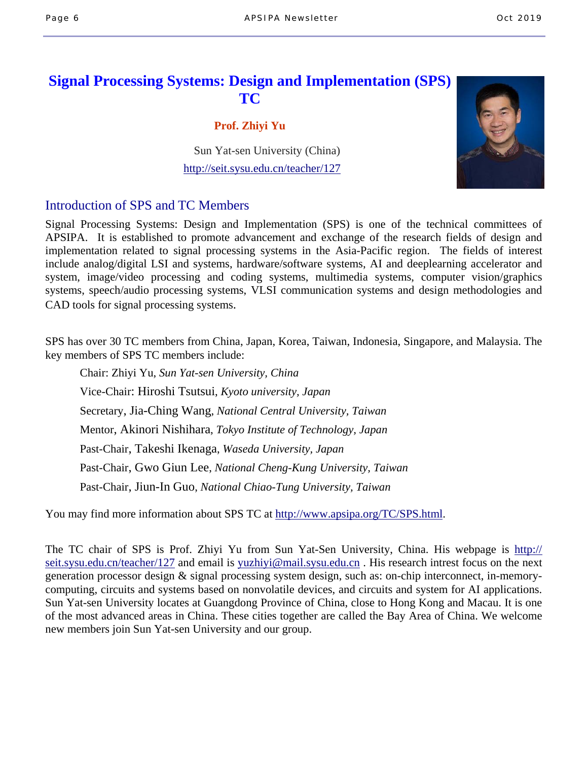# **Signal Processing Systems: Design and Implementation (SPS) TC**

#### **Prof. Zhiyi Yu**

 Sun Yat-sen University (China) http://seit.sysu.edu.cn/teacher/127

## Introduction of SPS and TC Members

Signal Processing Systems: Design and Implementation (SPS) is one of the technical committees of APSIPA. It is established to promote advancement and exchange of the research fields of design and implementation related to signal processing systems in the Asia-Pacific region. The fields of interest include analog/digital LSI and systems, hardware/software systems, AI and deeplearning accelerator and system, image/video processing and coding systems, multimedia systems, computer vision/graphics systems, speech/audio processing systems, VLSI communication systems and design methodologies and CAD tools for signal processing systems.

SPS has over 30 TC members from China, Japan, Korea, Taiwan, Indonesia, Singapore, and Malaysia. The key members of SPS TC members include:

 Chair: Zhiyi Yu, *Sun Yat-sen University, China* Vice-Chair: Hiroshi Tsutsui, *Kyoto university, Japan* Secretary, Jia-Ching Wang, *National Central University, Taiwan* Mentor, Akinori Nishihara, *Tokyo Institute of Technology, Japan* Past-Chair, Takeshi Ikenaga, *Waseda University, Japan* Past-Chair, Gwo Giun Lee, *National Cheng-Kung University, Taiwan* Past-Chair, Jiun-In Guo, *National Chiao-Tung University, Taiwan* 

You may find more information about SPS TC at http://www.apsipa.org/TC/SPS.html.

The TC chair of SPS is Prof. Zhiyi Yu from Sun Yat-Sen University, China. His webpage is http:// seit.sysu.edu.cn/teacher/127 and email is yuzhiyi@mail.sysu.edu.cn . His research intrest focus on the next generation processor design & signal processing system design, such as: on-chip interconnect, in-memorycomputing, circuits and systems based on nonvolatile devices, and circuits and system for AI applications. Sun Yat-sen University locates at Guangdong Province of China, close to Hong Kong and Macau. It is one of the most advanced areas in China. These cities together are called the Bay Area of China. We welcome new members join Sun Yat-sen University and our group.

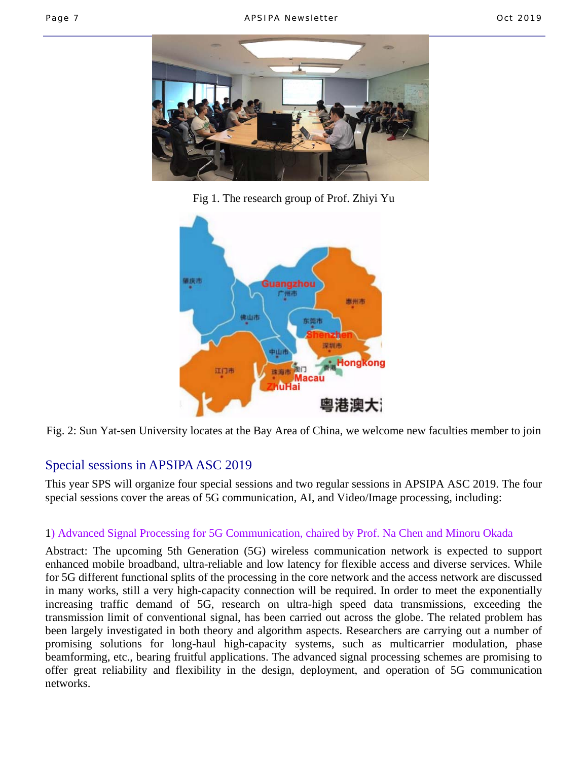

Fig 1. The research group of Prof. Zhiyi Yu



Fig. 2: Sun Yat-sen University locates at the Bay Area of China, we welcome new faculties member to join

## Special sessions in APSIPA ASC 2019

This year SPS will organize four special sessions and two regular sessions in APSIPA ASC 2019. The four special sessions cover the areas of 5G communication, AI, and Video/Image processing, including:

### 1) Advanced Signal Processing for 5G Communication, chaired by Prof. Na Chen and Minoru Okada

Abstract: The upcoming 5th Generation (5G) wireless communication network is expected to support enhanced mobile broadband, ultra-reliable and low latency for flexible access and diverse services. While for 5G different functional splits of the processing in the core network and the access network are discussed in many works, still a very high-capacity connection will be required. In order to meet the exponentially increasing traffic demand of 5G, research on ultra-high speed data transmissions, exceeding the transmission limit of conventional signal, has been carried out across the globe. The related problem has been largely investigated in both theory and algorithm aspects. Researchers are carrying out a number of promising solutions for long-haul high-capacity systems, such as multicarrier modulation, phase beamforming, etc., bearing fruitful applications. The advanced signal processing schemes are promising to offer great reliability and flexibility in the design, deployment, and operation of 5G communication networks.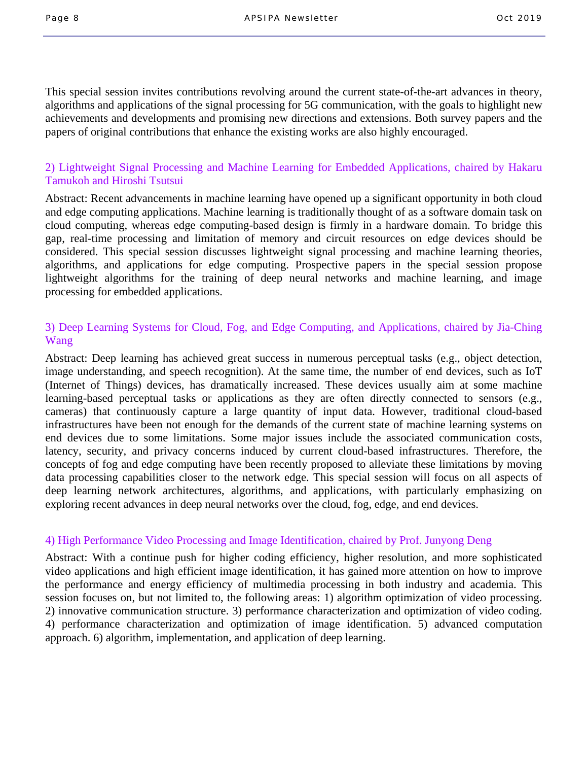This special session invites contributions revolving around the current state-of-the-art advances in theory, algorithms and applications of the signal processing for 5G communication, with the goals to highlight new achievements and developments and promising new directions and extensions. Both survey papers and the papers of original contributions that enhance the existing works are also highly encouraged.

#### 2) Lightweight Signal Processing and Machine Learning for Embedded Applications, chaired by Hakaru Tamukoh and Hiroshi Tsutsui

Abstract: Recent advancements in machine learning have opened up a significant opportunity in both cloud and edge computing applications. Machine learning is traditionally thought of as a software domain task on cloud computing, whereas edge computing-based design is firmly in a hardware domain. To bridge this gap, real-time processing and limitation of memory and circuit resources on edge devices should be considered. This special session discusses lightweight signal processing and machine learning theories, algorithms, and applications for edge computing. Prospective papers in the special session propose lightweight algorithms for the training of deep neural networks and machine learning, and image processing for embedded applications.

#### 3) Deep Learning Systems for Cloud, Fog, and Edge Computing, and Applications, chaired by Jia-Ching Wang

Abstract: Deep learning has achieved great success in numerous perceptual tasks (e.g., object detection, image understanding, and speech recognition). At the same time, the number of end devices, such as IoT (Internet of Things) devices, has dramatically increased. These devices usually aim at some machine learning-based perceptual tasks or applications as they are often directly connected to sensors (e.g., cameras) that continuously capture a large quantity of input data. However, traditional cloud-based infrastructures have been not enough for the demands of the current state of machine learning systems on end devices due to some limitations. Some major issues include the associated communication costs, latency, security, and privacy concerns induced by current cloud-based infrastructures. Therefore, the concepts of fog and edge computing have been recently proposed to alleviate these limitations by moving data processing capabilities closer to the network edge. This special session will focus on all aspects of deep learning network architectures, algorithms, and applications, with particularly emphasizing on exploring recent advances in deep neural networks over the cloud, fog, edge, and end devices.

#### 4) High Performance Video Processing and Image Identification, chaired by Prof. Junyong Deng

Abstract: With a continue push for higher coding efficiency, higher resolution, and more sophisticated video applications and high efficient image identification, it has gained more attention on how to improve the performance and energy efficiency of multimedia processing in both industry and academia. This session focuses on, but not limited to, the following areas: 1) algorithm optimization of video processing. 2) innovative communication structure. 3) performance characterization and optimization of video coding. 4) performance characterization and optimization of image identification. 5) advanced computation approach. 6) algorithm, implementation, and application of deep learning.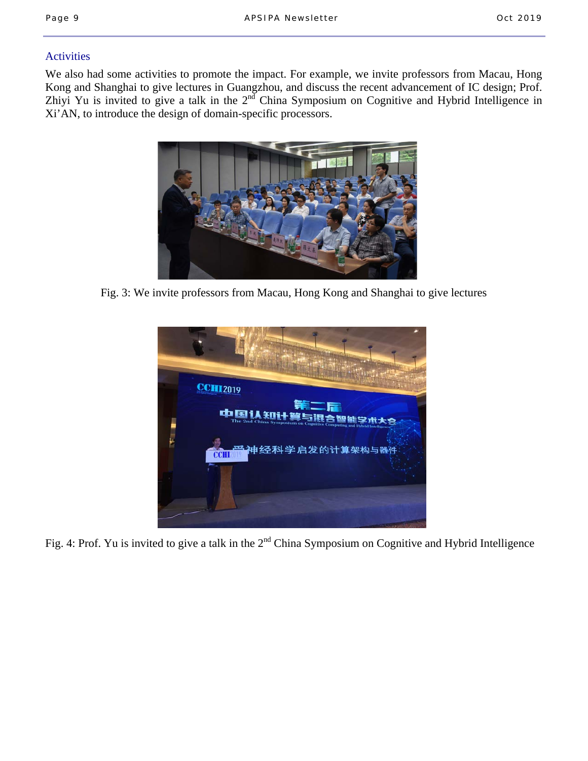### **Activities**

We also had some activities to promote the impact. For example, we invite professors from Macau, Hong Kong and Shanghai to give lectures in Guangzhou, and discuss the recent advancement of IC design; Prof. Zhiyi Yu is invited to give a talk in the 2<sup>nd</sup> China Symposium on Cognitive and Hybrid Intelligence in Xi'AN, to introduce the design of domain-specific processors.



Fig. 3: We invite professors from Macau, Hong Kong and Shanghai to give lectures



Fig. 4: Prof. Yu is invited to give a talk in the 2<sup>nd</sup> China Symposium on Cognitive and Hybrid Intelligence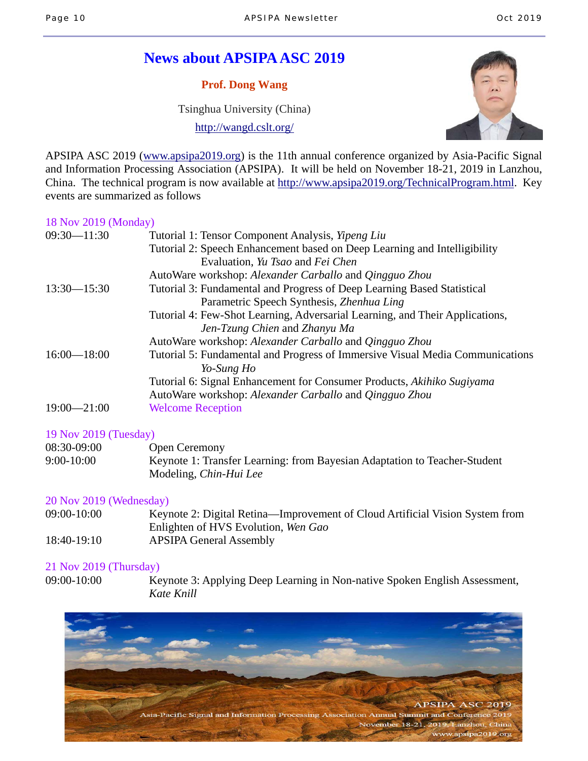# **News about APSIPA ASC 2019**

**Prof. Dong Wang** 

Tsinghua University (China)

http://wangd.cslt.org/



APSIPA ASC 2019 (www.apsipa2019.org) is the 11th annual conference organized by Asia-Pacific Signal and Information Processing Association (APSIPA). It will be held on November 18-21, 2019 in Lanzhou, China. The technical program is now available at http://www.apsipa2019.org/TechnicalProgram.html. Key events are summarized as follows

#### 18 Nov 2019 (Monday)

| $09:30 - 11:30$ | Tutorial 1: Tensor Component Analysis, <i>Yipeng Liu</i>                      |
|-----------------|-------------------------------------------------------------------------------|
|                 | Tutorial 2: Speech Enhancement based on Deep Learning and Intelligibility     |
|                 | Evaluation, Yu Tsao and Fei Chen                                              |
|                 | AutoWare workshop: Alexander Carballo and Qingguo Zhou                        |
| $13:30 - 15:30$ | Tutorial 3: Fundamental and Progress of Deep Learning Based Statistical       |
|                 | Parametric Speech Synthesis, Zhenhua Ling                                     |
|                 | Tutorial 4: Few-Shot Learning, Adversarial Learning, and Their Applications,  |
|                 | Jen-Tzung Chien and Zhanyu Ma                                                 |
|                 | AutoWare workshop: Alexander Carballo and Qingguo Zhou                        |
| $16:00 - 18:00$ | Tutorial 5: Fundamental and Progress of Immersive Visual Media Communications |
|                 | Yo-Sung Ho                                                                    |
|                 | Tutorial 6: Signal Enhancement for Consumer Products, Akihiko Sugiyama        |
|                 | AutoWare workshop: Alexander Carballo and Qingguo Zhou                        |
| $19:00 - 21:00$ | <b>Welcome Reception</b>                                                      |

#### 19 Nov 2019 (Tuesday)

| 08:30-09:00  | <b>Open Ceremony</b>                                                      |
|--------------|---------------------------------------------------------------------------|
| $9:00-10:00$ | Keynote 1: Transfer Learning: from Bayesian Adaptation to Teacher-Student |
|              | Modeling, Chin-Hui Lee                                                    |

#### 20 Nov 2019 (Wednesday)

| 09:00-10:00 | Keynote 2: Digital Retina—Improvement of Cloud Artificial Vision System from |
|-------------|------------------------------------------------------------------------------|
|             | Enlighten of HVS Evolution, Wen Gao                                          |
| 18:40-19:10 | <b>APSIPA General Assembly</b>                                               |

#### 21 Nov 2019 (Thursday)

09:00-10:00 Keynote 3: Applying Deep Learning in Non-native Spoken English Assessment, *Kate Knill*

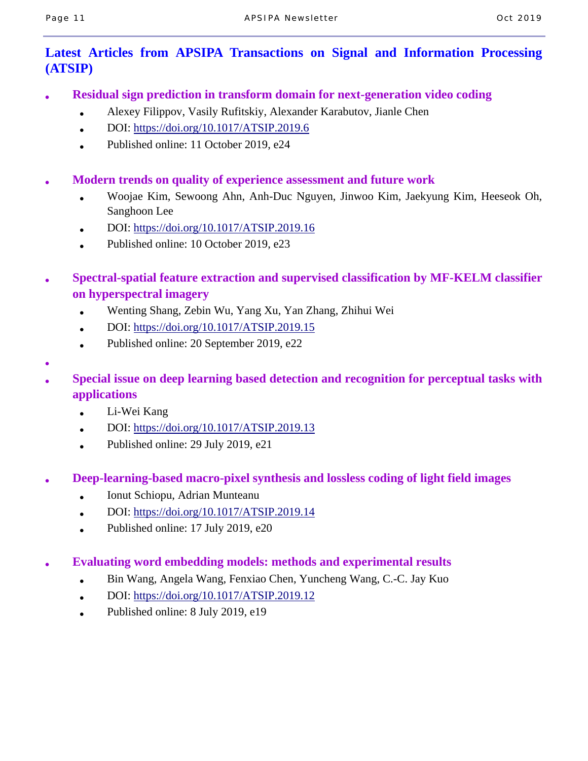●

## **Latest Articles from APSIPA Transactions on Signal and Information Processing (ATSIP)**

- **Residual sign prediction in transform domain for next-generation video coding** 
	- Alexey Filippov, Vasily Rufitskiy, Alexander Karabutov, Jianle Chen
	- DOI: https://doi.org/10.1017/ATSIP.2019.6
	- Published online: 11 October 2019, e24
- **Modern trends on quality of experience assessment and future work** 
	- Woojae Kim, Sewoong Ahn, Anh-Duc Nguyen, Jinwoo Kim, Jaekyung Kim, Heeseok Oh, Sanghoon Lee
	- DOI: https://doi.org/10.1017/ATSIP.2019.16
	- Published online: 10 October 2019, e23
- **Spectral-spatial feature extraction and supervised classification by MF-KELM classifier on hyperspectral imagery** 
	- Wenting Shang, Zebin Wu, Yang Xu, Yan Zhang, Zhihui Wei
	- DOI: https://doi.org/10.1017/ATSIP.2019.15
	- Published online:  $20$  September 2019, e22
- **Special issue on deep learning based detection and recognition for perceptual tasks with applications** 
	- Li-Wei Kang
	- DOI: https://doi.org/10.1017/ATSIP.2019.13
	- Published online:  $29$  July  $2019$ ,  $e21$
- **Deep-learning-based macro-pixel synthesis and lossless coding of light field images** 
	- Ionut Schiopu, Adrian Munteanu
	- $\bullet$  DOI: https://doi.org/10.1017/ATSIP.2019.14
	- Published online:  $17$  July  $2019$ ,  $e20$
- **Evaluating word embedding models: methods and experimental results** 
	- Bin Wang, Angela Wang, Fenxiao Chen, Yuncheng Wang, C.-C. Jay Kuo
	- DOI: https://doi.org/10.1017/ATSIP.2019.12
	- Published online: 8 July 2019, e19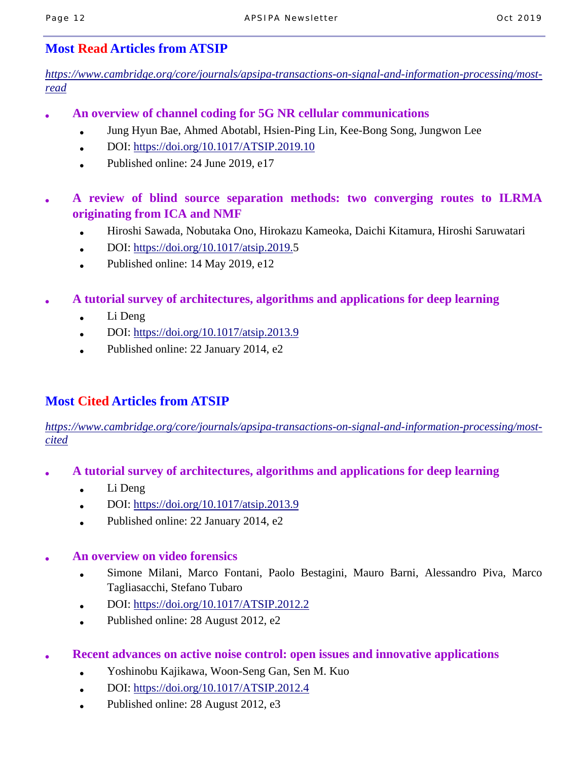## **Most Read Articles from ATSIP**

*https://www.cambridge.org/core/journals/apsipa-transactions-on-signal-and-information-processing/mostread*

- **An overview of channel coding for 5G NR cellular communications** 
	- Jung Hyun Bae, Ahmed Abotabl, Hsien-Ping Lin, Kee-Bong Song, Jungwon Lee
	- $\bullet$  DOI: https://doi.org/10.1017/ATSIP.2019.10
	- Published online: 24 June 2019, e17
- **A review of blind source separation methods: two converging routes to ILRMA originating from ICA and NMF** 
	- Hiroshi Sawada, Nobutaka Ono, Hirokazu Kameoka, Daichi Kitamura, Hiroshi Saruwatari
	- DOI: https://doi.org/10.1017/atsip.2019.5
	- Published online: 14 May 2019, e12
- **A tutorial survey of architectures, algorithms and applications for deep learning** 
	- Li Deng
	- DOI:  $\frac{https://doi.org/10.1017/atsip.2013.9}{https://doi.org/10.1017/atsip.2013.9}$
	- Published online: 22 January 2014, e2

# **Most Cited Articles from ATSIP**

*https://www.cambridge.org/core/journals/apsipa-transactions-on-signal-and-information-processing/mostcited*

- **A tutorial survey of architectures, algorithms and applications for deep learning** 
	- $\bullet$  Li Deng
	- DOI: https://doi.org/10.1017/atsip.2013.9
	- Published online:  $22$  January  $2014$ , e2

### ● **An overview on video forensics**

- Simone Milani, Marco Fontani, Paolo Bestagini, Mauro Barni, Alessandro Piva, Marco Tagliasacchi, Stefano Tubaro
- $\bullet$  DOI: https://doi.org/10.1017/ATSIP.2012.2
- Published online: 28 August 2012, e2
- **Recent advances on active noise control: open issues and innovative applications** 
	- Yoshinobu Kajikawa, Woon-Seng Gan, Sen M. Kuo
	- $\bullet$  DOI: https://doi.org/10.1017/ATSIP.2012.4
	- Published online:  $28$  August  $2012$ , e3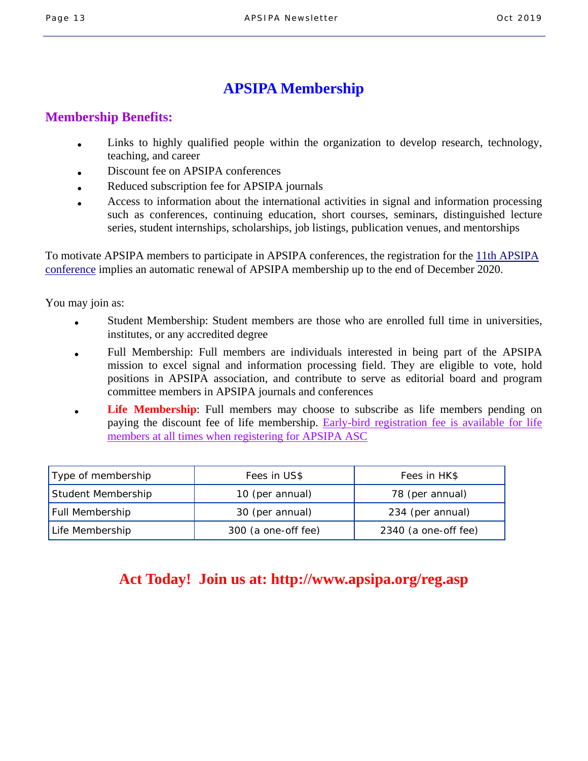# **APSIPA Membership**

### **Membership Benefits:**

- Links to highly qualified people within the organization to develop research, technology, teaching, and career
- Discount fee on APSIPA conferences
- Reduced subscription fee for APSIPA journals
- Access to information about the international activities in signal and information processing such as conferences, continuing education, short courses, seminars, distinguished lecture series, student internships, scholarships, job listings, publication venues, and mentorships

To motivate APSIPA members to participate in APSIPA conferences, the registration for the 11th APSIPA conference implies an automatic renewal of APSIPA membership up to the end of December 2020.

You may join as:

- Student Membership: Student members are those who are enrolled full time in universities, institutes, or any accredited degree
- Full Membership: Full members are individuals interested in being part of the APSIPA mission to excel signal and information processing field. They are eligible to vote, hold positions in APSIPA association, and contribute to serve as editorial board and program committee members in APSIPA journals and conferences
- **Life Membership**: Full members may choose to subscribe as life members pending on paying the discount fee of life membership. Early-bird registration fee is available for life members at all times when registering for APSIPA ASC

| Type of membership | Fees in US\$        | Fees in HK\$         |
|--------------------|---------------------|----------------------|
| Student Membership | 10 (per annual)     | 78 (per annual)      |
| Full Membership    | 30 (per annual)     | 234 (per annual)     |
| Life Membership    | 300 (a one-off fee) | 2340 (a one-off fee) |

# **Act Today! Join us at: http://www.apsipa.org/reg.asp**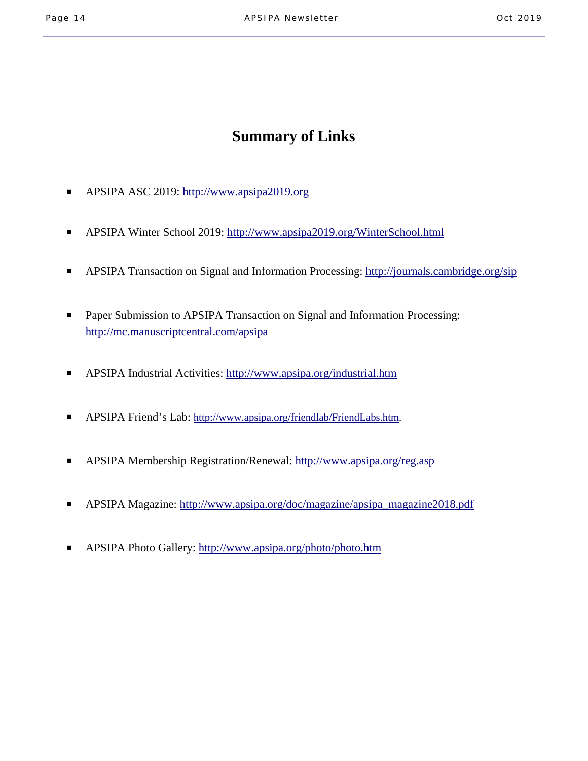# **Summary of Links**

- APSIPA ASC 2019: http://www.apsipa2019.org
- APSIPA Winter School 2019: http://www.apsipa2019.org/WinterSchool.html
- APSIPA Transaction on Signal and Information Processing: http://journals.cambridge.org/sip
- Paper Submission to APSIPA Transaction on Signal and Information Processing: http://mc.manuscriptcentral.com/apsipa
- APSIPA Industrial Activities: http://www.apsipa.org/industrial.htm
- APSIPA Friend's Lab: http://www.apsipa.org/friendlab/FriendLabs.htm.
- APSIPA Membership Registration/Renewal: http://www.apsipa.org/reg.asp
- APSIPA Magazine: http://www.apsipa.org/doc/magazine/apsipa\_magazine2018.pdf
- APSIPA Photo Gallery: http://www.apsipa.org/photo/photo.htm